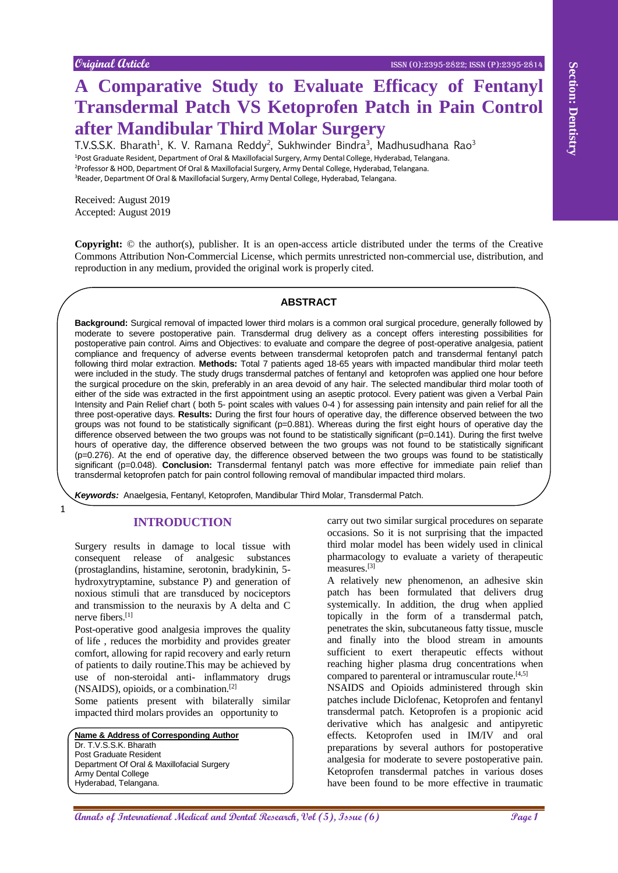# **A Comparative Study to Evaluate Efficacy of Fentanyl Transdermal Patch VS Ketoprofen Patch in Pain Control after Mandibular Third Molar Surgery**

T.V.S.S.K. Bharath<sup>1</sup>, K. V. Ramana Reddy<sup>2</sup>, Sukhwinder Bindra<sup>3</sup>, Madhusudhana Rao<sup>3</sup> Post Graduate Resident, Department of Oral & Maxillofacial Surgery, Army Dental College, Hyderabad, Telangana. Professor & HOD, Department Of Oral & Maxillofacial Surgery, Army Dental College, Hyderabad, Telangana. Reader, Department Of Oral & Maxillofacial Surgery, Army Dental College, Hyderabad, Telangana.

Received: August 2019 Accepted: August 2019

1

**Copyright:** © the author(s), publisher. It is an open-access article distributed under the terms of the Creative Commons Attribution Non-Commercial License, which permits unrestricted non-commercial use, distribution, and reproduction in any medium, provided the original work is properly cited.

## **ABSTRACT**

**Analysis of Constraint Constraint Constraint Constraint Constraint Constraint Constraint Constraint Constraint Constraint Constraint Constraint Constraint Constraint Constraint Constraint Constraint Constraint Constraint Background:** Surgical removal of impacted lower third molars is a common oral surgical procedure, generally followed by moderate to severe postoperative pain. Transdermal drug delivery as a concept offers interesting possibilities for postoperative pain control. Aims and Objectives: to evaluate and compare the degree of post-operative analgesia, patient compliance and frequency of adverse events between transdermal ketoprofen patch and transdermal fentanyl patch following third molar extraction. **Methods:** Total 7 patients aged 18-65 years with impacted mandibular third molar teeth were included in the study. The study drugs transdermal patches of fentanyl and ketoprofen was applied one hour before the surgical procedure on the skin, preferably in an area devoid of any hair. The selected mandibular third molar tooth of either of the side was extracted in the first appointment using an aseptic protocol. Every patient was given a Verbal Pain Intensity and Pain Relief chart ( both 5- point scales with values 0-4 ) for assessing pain intensity and pain relief for all the three post-operative days. **Results:** During the first four hours of operative day, the difference observed between the two groups was not found to be statistically significant (p=0.881). Whereas during the first eight hours of operative day the difference observed between the two groups was not found to be statistically significant ( $p=0.141$ ). During the first twelve hours of operative day, the difference observed between the two groups was not found to be statistically significant (p=0.276). At the end of operative day, the difference observed between the two groups was found to be statistically significant (p=0.048). **Conclusion:** Transdermal fentanyl patch was more effective for immediate pain relief than transdermal ketoprofen patch for pain control following removal of mandibular impacted third molars.

*Keywords:* Anaelgesia, Fentanyl, Ketoprofen, Mandibular Third Molar, Transdermal Patch.

#### **INTRODUCTION**

Surgery results in damage to local tissue with consequent release of analgesic substances (prostaglandins, histamine, serotonin, bradykinin, 5 hydroxytryptamine, substance P) and generation of noxious stimuli that are transduced by nociceptors and transmission to the neuraxis by A delta and C nerve fibers.[1]

Post-operative good analgesia improves the quality of life , reduces the morbidity and provides greater comfort, allowing for rapid recovery and early return of patients to daily routine.This may be achieved by use of non-steroidal anti- inflammatory drugs (NSAIDS), opioids, or a combination.[2]

Some patients present with bilaterally similar impacted third molars provides an opportunity to

**Name & Address of Corresponding Author** Dr. T.V.S.S.K. Bharath Post Graduate Resident Department Of Oral & Maxillofacial Surgery Army Dental College Hyderabad, Telangana.

carry out two similar surgical procedures on separate occasions. So it is not surprising that the impacted third molar model has been widely used in clinical pharmacology to evaluate a variety of therapeutic measures.[3]

A relatively new phenomenon, an adhesive skin patch has been formulated that delivers drug systemically. In addition, the drug when applied topically in the form of a transdermal patch, penetrates the skin, subcutaneous fatty tissue, muscle and finally into the blood stream in amounts sufficient to exert therapeutic effects without reaching higher plasma drug concentrations when compared to parenteral or intramuscular route.[4,5]

NSAIDS and Opioids administered through skin patches include Diclofenac, Ketoprofen and fentanyl transdermal patch. Ketoprofen is a propionic acid derivative which has analgesic and antipyretic effects. Ketoprofen used in IM/IV and oral preparations by several authors for postoperative analgesia for moderate to severe postoperative pain. Ketoprofen transdermal patches in various doses have been found to be more effective in traumatic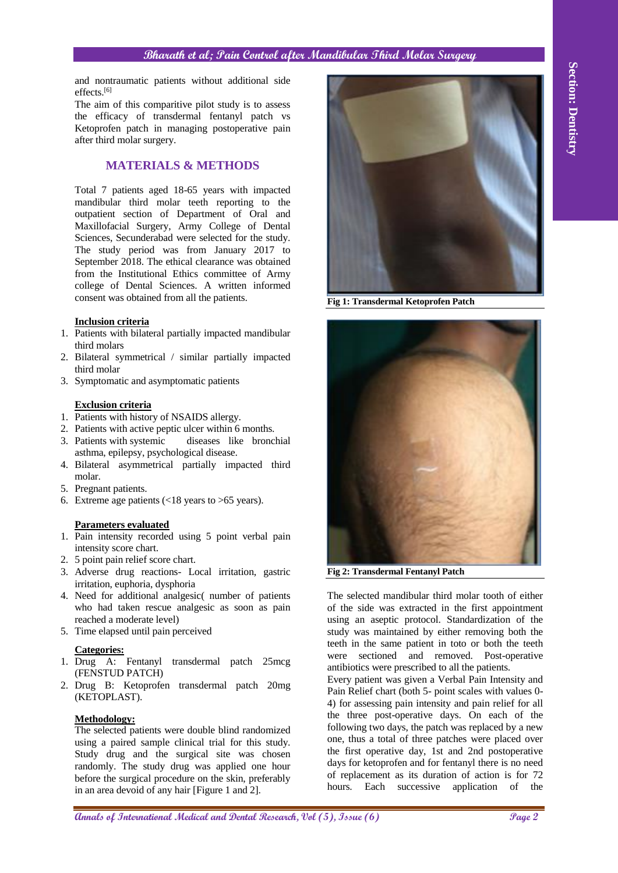and nontraumatic patients without additional side effects.[6]

The aim of this comparitive pilot study is to assess the efficacy of transdermal fentanyl patch vs Ketoprofen patch in managing postoperative pain after third molar surgery.

# **MATERIALS & METHODS**

Total 7 patients aged 18-65 years with impacted mandibular third molar teeth reporting to the outpatient section of Department of Oral and Maxillofacial Surgery, Army College of Dental Sciences, Secunderabad were selected for the study. The study period was from January 2017 to September 2018. The ethical clearance was obtained from the Institutional Ethics committee of Army college of Dental Sciences. A written informed consent was obtained from all the patients.

## **Inclusion criteria**

- 1. Patients with bilateral partially impacted mandibular third molars
- 2. Bilateral symmetrical / similar partially impacted third molar
- 3. Symptomatic and asymptomatic patients

## **Exclusion criteria**

- 1. Patients with history of NSAIDS allergy.
- 2. Patients with active peptic ulcer within 6 months.
- 3. Patients with systemic diseases like bronchial asthma, epilepsy, psychological disease.
- 4. Bilateral asymmetrical partially impacted third molar.
- 5. Pregnant patients.
- 6. Extreme age patients  $\left( < 18 \right)$  years to  $> 65$  years).

## **Parameters evaluated**

- 1. Pain intensity recorded using 5 point verbal pain intensity score chart.
- 2. 5 point pain relief score chart.
- 3. Adverse drug reactions- Local irritation, gastric irritation, euphoria, dysphoria
- 4. Need for additional analgesic( number of patients who had taken rescue analgesic as soon as pain reached a moderate level)
- 5. Time elapsed until pain perceived

## **Categories:**

- 1. Drug A: Fentanyl transdermal patch 25mcg (FENSTUD PATCH)
- 2. Drug B: Ketoprofen transdermal patch 20mg (KETOPLAST).

## **Methodology:**

The selected patients were double blind randomized using a paired sample clinical trial for this study. Study drug and the surgical site was chosen randomly. The study drug was applied one hour before the surgical procedure on the skin, preferably in an area devoid of any hair [Figure 1 and 2].



**Fig 1: Transdermal Ketoprofen Patch**



**Fig 2: Transdermal Fentanyl Patch**

The selected mandibular third molar tooth of either of the side was extracted in the first appointment using an aseptic protocol. Standardization of the study was maintained by either removing both the teeth in the same patient in toto or both the teeth were sectioned and removed. Post-operative antibiotics were prescribed to all the patients.

Every patient was given a Verbal Pain Intensity and Pain Relief chart (both 5- point scales with values 0- 4) for assessing pain intensity and pain relief for all the three post-operative days. On each of the following two days, the patch was replaced by a new one, thus a total of three patches were placed over the first operative day, 1st and 2nd postoperative days for ketoprofen and for fentanyl there is no need of replacement as its duration of action is for 72 hours. Each successive application of the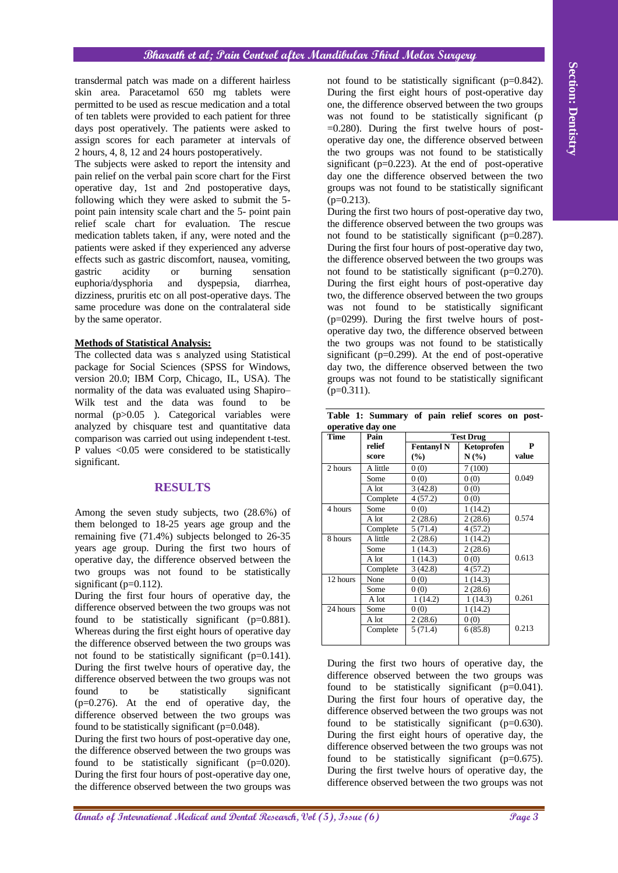#### **Methods of Statistical Analysis:**

## **RESULTS**

|  | Table 1: Summary of pain relief scores on post- |  |  |  |
|--|-------------------------------------------------|--|--|--|
|  | operative day one                               |  |  |  |

| transdermal patch was made on a different hairless<br>skin area. Paracetamol 650 mg tablets were<br>permitted to be used as rescue medication and a total<br>of ten tablets were provided to each patient for three<br>days post operatively. The patients were asked to<br>assign scores for each parameter at intervals of<br>2 hours, 4, 8, 12 and 24 hours postoperatively.<br>The subjects were asked to report the intensity and<br>pain relief on the verbal pain score chart for the First<br>operative day, 1st and 2nd postoperative days,<br>following which they were asked to submit the 5-                                                                                                                            | not found to be statistically significant ( $p=0.842$ ).<br>During the first eight hours of post-operative day<br>one, the difference observed between the two groups<br>was not found to be statistically significant (p<br>$=0.280$ ). During the first twelve hours of post-<br>operative day one, the difference observed between<br>the two groups was not found to be statistically<br>significant ( $p=0.223$ ). At the end of post-operative<br>day one the difference observed between the two<br>groups was not found to be statistically significant<br>$(p=0.213)$ .<br>During the first two hours of post-operative day two,<br>the difference observed between the two groups was<br>not found to be statistically significant ( $p=0.287$ ).<br>During the first four hours of post-operative day two,<br>the difference observed between the two groups was<br>not found to be statistically significant ( $p=0.270$ ).<br>During the first eight hours of post-operative day<br>two, the difference observed between the two groups<br>was not found to be statistically significant<br>$(p=0299)$ . During the first twelve hours of post-<br>operative day two, the difference observed between |                                       |                                                                                                                                                                                                                                                                                                                                                                                                                                                                                                                                                                                                               |                                                     |                |  |
|-------------------------------------------------------------------------------------------------------------------------------------------------------------------------------------------------------------------------------------------------------------------------------------------------------------------------------------------------------------------------------------------------------------------------------------------------------------------------------------------------------------------------------------------------------------------------------------------------------------------------------------------------------------------------------------------------------------------------------------|--------------------------------------------------------------------------------------------------------------------------------------------------------------------------------------------------------------------------------------------------------------------------------------------------------------------------------------------------------------------------------------------------------------------------------------------------------------------------------------------------------------------------------------------------------------------------------------------------------------------------------------------------------------------------------------------------------------------------------------------------------------------------------------------------------------------------------------------------------------------------------------------------------------------------------------------------------------------------------------------------------------------------------------------------------------------------------------------------------------------------------------------------------------------------------------------------------------------|---------------------------------------|---------------------------------------------------------------------------------------------------------------------------------------------------------------------------------------------------------------------------------------------------------------------------------------------------------------------------------------------------------------------------------------------------------------------------------------------------------------------------------------------------------------------------------------------------------------------------------------------------------------|-----------------------------------------------------|----------------|--|
| point pain intensity scale chart and the 5- point pain<br>relief scale chart for evaluation. The rescue<br>medication tablets taken, if any, were noted and the<br>patients were asked if they experienced any adverse<br>effects such as gastric discomfort, nausea, vomiting,<br>acidity<br>burning<br>gastric<br><b>or</b><br>sensation<br>euphoria/dysphoria<br>and<br>dyspepsia,<br>diarrhea,<br>dizziness, pruritis etc on all post-operative days. The                                                                                                                                                                                                                                                                       |                                                                                                                                                                                                                                                                                                                                                                                                                                                                                                                                                                                                                                                                                                                                                                                                                                                                                                                                                                                                                                                                                                                                                                                                                    |                                       |                                                                                                                                                                                                                                                                                                                                                                                                                                                                                                                                                                                                               |                                                     |                |  |
| same procedure was done on the contralateral side<br>by the same operator.                                                                                                                                                                                                                                                                                                                                                                                                                                                                                                                                                                                                                                                          |                                                                                                                                                                                                                                                                                                                                                                                                                                                                                                                                                                                                                                                                                                                                                                                                                                                                                                                                                                                                                                                                                                                                                                                                                    |                                       |                                                                                                                                                                                                                                                                                                                                                                                                                                                                                                                                                                                                               |                                                     |                |  |
| <b>Methods of Statistical Analysis:</b><br>The collected data was s analyzed using Statistical<br>package for Social Sciences (SPSS for Windows,<br>version 20.0; IBM Corp, Chicago, IL, USA). The<br>normality of the data was evaluated using Shapiro-<br>Wilk test and the data was found<br>to<br>be                                                                                                                                                                                                                                                                                                                                                                                                                            | $(p=0.311)$ .                                                                                                                                                                                                                                                                                                                                                                                                                                                                                                                                                                                                                                                                                                                                                                                                                                                                                                                                                                                                                                                                                                                                                                                                      |                                       | the two groups was not found to be statistically<br>significant ( $p=0.299$ ). At the end of post-operative<br>day two, the difference observed between the two<br>groups was not found to be statistically significant                                                                                                                                                                                                                                                                                                                                                                                       |                                                     |                |  |
| normal (p>0.05). Categorical variables were                                                                                                                                                                                                                                                                                                                                                                                                                                                                                                                                                                                                                                                                                         |                                                                                                                                                                                                                                                                                                                                                                                                                                                                                                                                                                                                                                                                                                                                                                                                                                                                                                                                                                                                                                                                                                                                                                                                                    |                                       | Table 1: Summary of pain relief scores on post-                                                                                                                                                                                                                                                                                                                                                                                                                                                                                                                                                               |                                                     |                |  |
| analyzed by chisquare test and quantitative data                                                                                                                                                                                                                                                                                                                                                                                                                                                                                                                                                                                                                                                                                    | <b>Time</b>                                                                                                                                                                                                                                                                                                                                                                                                                                                                                                                                                                                                                                                                                                                                                                                                                                                                                                                                                                                                                                                                                                                                                                                                        | operative day one<br>Pain             |                                                                                                                                                                                                                                                                                                                                                                                                                                                                                                                                                                                                               | <b>Test Drug</b>                                    |                |  |
| comparison was carried out using independent t-test.<br>P values <0.05 were considered to be statistically                                                                                                                                                                                                                                                                                                                                                                                                                                                                                                                                                                                                                          |                                                                                                                                                                                                                                                                                                                                                                                                                                                                                                                                                                                                                                                                                                                                                                                                                                                                                                                                                                                                                                                                                                                                                                                                                    | relief<br>score                       | <b>Fentanyl N</b><br>(%)                                                                                                                                                                                                                                                                                                                                                                                                                                                                                                                                                                                      | Ketoprofen<br>$N(\%)$                               | P<br>value     |  |
| significant.                                                                                                                                                                                                                                                                                                                                                                                                                                                                                                                                                                                                                                                                                                                        | 2 hours                                                                                                                                                                                                                                                                                                                                                                                                                                                                                                                                                                                                                                                                                                                                                                                                                                                                                                                                                                                                                                                                                                                                                                                                            | A little                              | 0(0)                                                                                                                                                                                                                                                                                                                                                                                                                                                                                                                                                                                                          | 7(100)                                              |                |  |
| <b>RESULTS</b>                                                                                                                                                                                                                                                                                                                                                                                                                                                                                                                                                                                                                                                                                                                      |                                                                                                                                                                                                                                                                                                                                                                                                                                                                                                                                                                                                                                                                                                                                                                                                                                                                                                                                                                                                                                                                                                                                                                                                                    | Some<br>A lot                         | 0(0)<br>3(42.8)                                                                                                                                                                                                                                                                                                                                                                                                                                                                                                                                                                                               | 0(0)<br>0(0)                                        | 0.049          |  |
| Among the seven study subjects, two (28.6%) of<br>them belonged to 18-25 years age group and the                                                                                                                                                                                                                                                                                                                                                                                                                                                                                                                                                                                                                                    | 4 hours                                                                                                                                                                                                                                                                                                                                                                                                                                                                                                                                                                                                                                                                                                                                                                                                                                                                                                                                                                                                                                                                                                                                                                                                            | Complete<br>Some<br>A lot             | 4(57.2)<br>0(0)<br>2(28.6)                                                                                                                                                                                                                                                                                                                                                                                                                                                                                                                                                                                    | 0(0)<br>1(14.2)<br>2(28.6)                          | 0.574          |  |
| remaining five (71.4%) subjects belonged to 26-35<br>years age group. During the first two hours of<br>operative day, the difference observed between the                                                                                                                                                                                                                                                                                                                                                                                                                                                                                                                                                                           | $8$ hours                                                                                                                                                                                                                                                                                                                                                                                                                                                                                                                                                                                                                                                                                                                                                                                                                                                                                                                                                                                                                                                                                                                                                                                                          | Complete<br>A little<br>Some<br>A lot | 5(71.4)<br>2(28.6)<br>1(14.3)<br>1(14.3)                                                                                                                                                                                                                                                                                                                                                                                                                                                                                                                                                                      | 4(57.2)<br>$\overline{1}$ (14.2)<br>2(28.6)<br>0(0) | 0.613          |  |
| two groups was not found to be statistically<br>significant ( $p=0.112$ ).<br>During the first four hours of operative day, the                                                                                                                                                                                                                                                                                                                                                                                                                                                                                                                                                                                                     | 12 hours                                                                                                                                                                                                                                                                                                                                                                                                                                                                                                                                                                                                                                                                                                                                                                                                                                                                                                                                                                                                                                                                                                                                                                                                           | Complete<br>None<br>Some              | 3(42.8)<br>0(0)<br>0(0)                                                                                                                                                                                                                                                                                                                                                                                                                                                                                                                                                                                       | 4(57.2)<br>1(14.3)<br>2(28.6)                       |                |  |
| difference observed between the two groups was not<br>found to be statistically significant ( $p=0.881$ ).<br>Whereas during the first eight hours of operative day                                                                                                                                                                                                                                                                                                                                                                                                                                                                                                                                                                 | 24 hours                                                                                                                                                                                                                                                                                                                                                                                                                                                                                                                                                                                                                                                                                                                                                                                                                                                                                                                                                                                                                                                                                                                                                                                                           | A lot<br>Some<br>A lot<br>Complete    | 1(14.2)<br>0(0)<br>2(28.6)<br>5(71.4)                                                                                                                                                                                                                                                                                                                                                                                                                                                                                                                                                                         | 1(14.3)<br>1(14.2)<br>0(0)<br>6(85.8)               | 0.261<br>0.213 |  |
| the difference observed between the two groups was<br>not found to be statistically significant ( $p=0.141$ ).<br>During the first twelve hours of operative day, the<br>difference observed between the two groups was not<br>significant<br>found<br>be<br>statistically<br>to<br>$(p=0.276)$ . At the end of operative day, the<br>difference observed between the two groups was<br>found to be statistically significant ( $p=0.048$ ).<br>During the first two hours of post-operative day one,<br>the difference observed between the two groups was<br>found to be statistically significant ( $p=0.020$ ).<br>During the first four hours of post-operative day one,<br>the difference observed between the two groups was |                                                                                                                                                                                                                                                                                                                                                                                                                                                                                                                                                                                                                                                                                                                                                                                                                                                                                                                                                                                                                                                                                                                                                                                                                    |                                       | During the first two hours of operative day, the<br>difference observed between the two groups was<br>found to be statistically significant $(p=0.041)$ .<br>During the first four hours of operative day, the<br>difference observed between the two groups was not<br>found to be statistically significant ( $p=0.630$ ).<br>During the first eight hours of operative day, the<br>difference observed between the two groups was not<br>found to be statistically significant ( $p=0.675$ ).<br>During the first twelve hours of operative day, the<br>difference observed between the two groups was not |                                                     |                |  |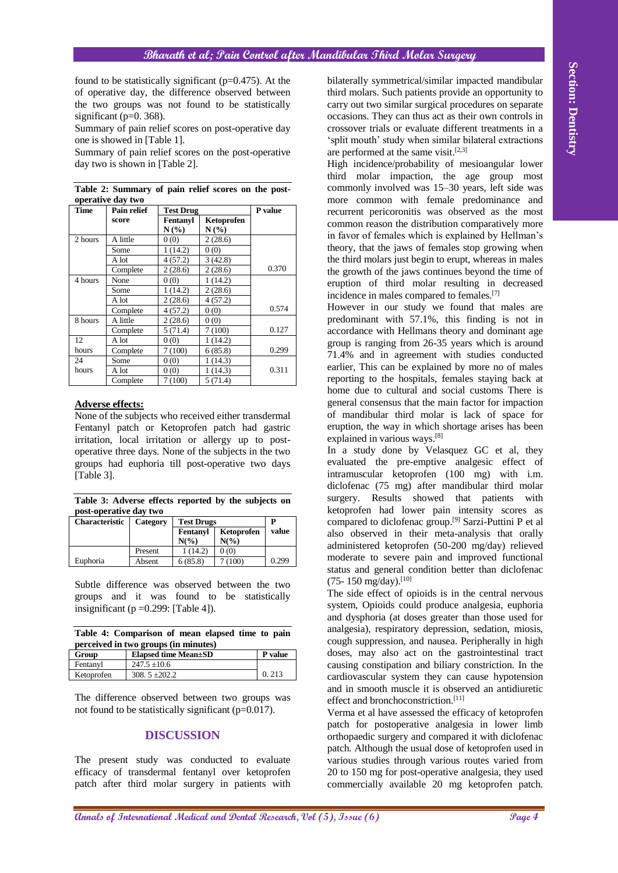|                                                 | found to be statistically significant ( $p=0.475$ ). At the<br>of operative day, the difference observed between<br>the two groups was not found to be statistically<br>significant ( $p=0$ . 368).<br>Summary of pain relief scores on post-operative day<br>one is showed in [Table 1].<br>Summary of pain relief scores on the post-operative<br>day two is shown in [Table 2].                                                                                                             |                                                                |                                         |                             | bilaterally symmetrical/similar impacted mandibular<br>third molars. Such patients provide an opportunity to<br>carry out two similar surgical procedures on separate<br>occasions. They can thus act as their own controls in<br>crossover trials or evaluate different treatments in a<br>'split mouth' study when similar bilateral extractions<br>are performed at the same visit. $[2,3]$<br>High incidence/probability of mesioangular lower<br>molar impaction, the age group most<br>third<br>commonly involved was 15-30 years, left side was                                                                                                                                                                                                                                                                            | Section: Dentistry |
|-------------------------------------------------|------------------------------------------------------------------------------------------------------------------------------------------------------------------------------------------------------------------------------------------------------------------------------------------------------------------------------------------------------------------------------------------------------------------------------------------------------------------------------------------------|----------------------------------------------------------------|-----------------------------------------|-----------------------------|-----------------------------------------------------------------------------------------------------------------------------------------------------------------------------------------------------------------------------------------------------------------------------------------------------------------------------------------------------------------------------------------------------------------------------------------------------------------------------------------------------------------------------------------------------------------------------------------------------------------------------------------------------------------------------------------------------------------------------------------------------------------------------------------------------------------------------------|--------------------|
|                                                 | Table 2: Summary of pain relief scores on the post-<br>operative day two                                                                                                                                                                                                                                                                                                                                                                                                                       |                                                                |                                         |                             | more common with female predominance and                                                                                                                                                                                                                                                                                                                                                                                                                                                                                                                                                                                                                                                                                                                                                                                          |                    |
| Time                                            | Pain relief                                                                                                                                                                                                                                                                                                                                                                                                                                                                                    | <b>Test Drug</b>                                               |                                         | P value                     | recurrent pericoronitis was observed as the most                                                                                                                                                                                                                                                                                                                                                                                                                                                                                                                                                                                                                                                                                                                                                                                  |                    |
|                                                 | score                                                                                                                                                                                                                                                                                                                                                                                                                                                                                          | Fentanyl<br>$N(\%)$                                            | Ketoprofen<br>$N(\%)$                   |                             | common reason the distribution comparatively more                                                                                                                                                                                                                                                                                                                                                                                                                                                                                                                                                                                                                                                                                                                                                                                 |                    |
| 2 hours                                         | A little                                                                                                                                                                                                                                                                                                                                                                                                                                                                                       | 0(0)                                                           | 2(28.6)                                 |                             | in favor of females which is explained by Hellman's                                                                                                                                                                                                                                                                                                                                                                                                                                                                                                                                                                                                                                                                                                                                                                               |                    |
|                                                 | Some                                                                                                                                                                                                                                                                                                                                                                                                                                                                                           | 1(14.2)                                                        | 0(0)                                    |                             | theory, that the jaws of females stop growing when                                                                                                                                                                                                                                                                                                                                                                                                                                                                                                                                                                                                                                                                                                                                                                                |                    |
|                                                 | A lot                                                                                                                                                                                                                                                                                                                                                                                                                                                                                          | 4(57.2)                                                        | 3(42.8)                                 |                             | the third molars just begin to erupt, whereas in males                                                                                                                                                                                                                                                                                                                                                                                                                                                                                                                                                                                                                                                                                                                                                                            |                    |
|                                                 | Complete                                                                                                                                                                                                                                                                                                                                                                                                                                                                                       | 2(28.6)                                                        | 2(28.6)                                 | 0.370                       | the growth of the jaws continues beyond the time of                                                                                                                                                                                                                                                                                                                                                                                                                                                                                                                                                                                                                                                                                                                                                                               |                    |
| 4 hours                                         | None<br>Some                                                                                                                                                                                                                                                                                                                                                                                                                                                                                   | 0(0)<br>1(14.2)                                                | 1(14.2)<br>2(28.6)                      |                             | eruption of third molar resulting in decreased                                                                                                                                                                                                                                                                                                                                                                                                                                                                                                                                                                                                                                                                                                                                                                                    |                    |
|                                                 | A lot                                                                                                                                                                                                                                                                                                                                                                                                                                                                                          | 2(28.6)                                                        | 4(57.2)                                 |                             | incidence in males compared to females. <sup>[7]</sup>                                                                                                                                                                                                                                                                                                                                                                                                                                                                                                                                                                                                                                                                                                                                                                            |                    |
|                                                 | Complete                                                                                                                                                                                                                                                                                                                                                                                                                                                                                       | 4(57.2)                                                        | 0(0)                                    | 0.574                       | However in our study we found that males are                                                                                                                                                                                                                                                                                                                                                                                                                                                                                                                                                                                                                                                                                                                                                                                      |                    |
| 8 hours                                         | A little                                                                                                                                                                                                                                                                                                                                                                                                                                                                                       | 2(28.6)                                                        | 0(0)                                    |                             | predominant with 57.1%, this finding is not in                                                                                                                                                                                                                                                                                                                                                                                                                                                                                                                                                                                                                                                                                                                                                                                    |                    |
|                                                 | Complete                                                                                                                                                                                                                                                                                                                                                                                                                                                                                       | 5(71.4)                                                        | 7(100)                                  | 0.127                       | accordance with Hellmans theory and dominant age                                                                                                                                                                                                                                                                                                                                                                                                                                                                                                                                                                                                                                                                                                                                                                                  |                    |
| 12<br>hours                                     | A lot<br>Complete                                                                                                                                                                                                                                                                                                                                                                                                                                                                              | 0(0)<br>7(100)                                                 | 1(14.2)<br>6(85.8)                      | 0.299                       | group is ranging from 26-35 years which is around                                                                                                                                                                                                                                                                                                                                                                                                                                                                                                                                                                                                                                                                                                                                                                                 |                    |
| 24                                              | Some                                                                                                                                                                                                                                                                                                                                                                                                                                                                                           | 0(0)                                                           | 1(14.3)                                 |                             | 71.4% and in agreement with studies conducted                                                                                                                                                                                                                                                                                                                                                                                                                                                                                                                                                                                                                                                                                                                                                                                     |                    |
| hours                                           | A lot                                                                                                                                                                                                                                                                                                                                                                                                                                                                                          | 0(0)                                                           | 1(14.3)                                 | 0.311                       | earlier, This can be explained by more no of males                                                                                                                                                                                                                                                                                                                                                                                                                                                                                                                                                                                                                                                                                                                                                                                |                    |
|                                                 | Complete                                                                                                                                                                                                                                                                                                                                                                                                                                                                                       | 7(100)                                                         | 5(71.4)                                 |                             | reporting to the hospitals, females staying back at<br>home due to cultural and social customs There is                                                                                                                                                                                                                                                                                                                                                                                                                                                                                                                                                                                                                                                                                                                           |                    |
| [Table 3].<br><b>Characteristic</b><br>Euphoria | None of the subjects who received either transdermal<br>Fentanyl patch or Ketoprofen patch had gastric<br>irritation, local irritation or allergy up to post-<br>operative three days. None of the subjects in the two<br>groups had euphoria till post-operative two days<br>Table 3: Adverse effects reported by the subjects on<br>post-operative day two<br>Category<br>Present<br>Absent<br>Subtle difference was observed between the two<br>groups and it was found to be statistically | <b>Test Drugs</b><br>Fentanyl<br>$N(\%)$<br>1(14.2)<br>6(85.8) | Ketoprofen<br>$N(\%)$<br>0(0)<br>7(100) | ${\bf P}$<br>value<br>0.299 | of mandibular third molar is lack of space for<br>eruption, the way in which shortage arises has been<br>explained in various ways. <sup>[8]</sup><br>In a study done by Velasquez GC et al, they<br>evaluated the pre-emptive analgesic effect of<br>intramuscular ketoprofen (100 mg) with i.m.<br>diclofenac (75 mg) after mandibular third molar<br>surgery. Results showed<br>that patients<br>with<br>ketoprofen had lower pain intensity scores as<br>compared to diclofenac group. <sup>[9]</sup> Sarzi-Puttini P et al<br>also observed in their meta-analysis that orally<br>administered ketoprofen (50-200 mg/day) relieved<br>moderate to severe pain and improved functional<br>status and general condition better than diclofenac<br>(75-150 mg/day).[10]<br>The side effect of opioids is in the central nervous |                    |
|                                                 |                                                                                                                                                                                                                                                                                                                                                                                                                                                                                                |                                                                |                                         |                             | system, Opioids could produce analgesia, euphoria                                                                                                                                                                                                                                                                                                                                                                                                                                                                                                                                                                                                                                                                                                                                                                                 |                    |
|                                                 | insignificant ( $p = 0.299$ : [Table 4]).<br>Table 4: Comparison of mean elapsed time to pain                                                                                                                                                                                                                                                                                                                                                                                                  |                                                                |                                         |                             | and dysphoria (at doses greater than those used for<br>analgesia), respiratory depression, sedation, miosis,                                                                                                                                                                                                                                                                                                                                                                                                                                                                                                                                                                                                                                                                                                                      |                    |
|                                                 | perceived in two groups (in minutes)                                                                                                                                                                                                                                                                                                                                                                                                                                                           |                                                                |                                         |                             | cough suppression, and nausea. Peripherally in high                                                                                                                                                                                                                                                                                                                                                                                                                                                                                                                                                                                                                                                                                                                                                                               |                    |
| Group                                           |                                                                                                                                                                                                                                                                                                                                                                                                                                                                                                | <b>Elapsed time Mean±SD</b>                                    |                                         | P value                     | doses, may also act on the gastrointestinal tract                                                                                                                                                                                                                                                                                                                                                                                                                                                                                                                                                                                                                                                                                                                                                                                 |                    |
| Fentanyl                                        | $247.5 \pm 10.6$                                                                                                                                                                                                                                                                                                                                                                                                                                                                               |                                                                |                                         |                             | causing constipation and biliary constriction. In the                                                                                                                                                                                                                                                                                                                                                                                                                                                                                                                                                                                                                                                                                                                                                                             |                    |
| Ketoprofen                                      | 308. $5 \pm 202.2$<br>The difference observed between two groups was<br>not found to be statistically significant (p=0.017).<br>The present study was conducted to evaluate<br>efficacy of transdermal fentanyl over ketoprofen<br>patch after third molar surgery in patients with                                                                                                                                                                                                            | <b>DISCUSSION</b>                                              |                                         | 0.213                       | cardiovascular system they can cause hypotension<br>and in smooth muscle it is observed an antidiuretic<br>effect and bronchoconstriction. <sup>[11]</sup><br>Verma et al have assessed the efficacy of ketoprofen<br>patch for postoperative analgesia in lower limb<br>orthopaedic surgery and compared it with diclofenac<br>patch. Although the usual dose of ketoprofen used in<br>various studies through various routes varied from<br>20 to 150 mg for post-operative analgesia, they used<br>commercially available 20 mg ketoprofen patch.                                                                                                                                                                                                                                                                              |                    |
|                                                 |                                                                                                                                                                                                                                                                                                                                                                                                                                                                                                |                                                                |                                         |                             | <b>Annals of International Medical and Dental Research, Vol (5), Issue (6)</b><br>Page 4                                                                                                                                                                                                                                                                                                                                                                                                                                                                                                                                                                                                                                                                                                                                          |                    |

|                   | Table 2: Summary of pain relief scores on the post- |  |  |  |  |
|-------------------|-----------------------------------------------------|--|--|--|--|
| operative day two |                                                     |  |  |  |  |

#### **Adverse effects:**

**Table 3: Adverse effects reported by the subjects on post-operative day two**

| <b>Characteristic</b> | Category | <b>Test Drugs</b> | D          |       |
|-----------------------|----------|-------------------|------------|-------|
|                       |          | Fentanvl          | Ketoprofen | value |
|                       |          | $N\binom{0}{0}$   | $N(\%)$    |       |
|                       | Present  | (14.2)            | 0(0)       |       |
| Euphoria              | Absent   | 6(85.8)           | (100)      | 0.299 |

| Table 4: Comparison of mean elapsed time to pain |  |  |  |
|--------------------------------------------------|--|--|--|
| perceived in two groups (in minutes)             |  |  |  |

| Group      | <b>Elapsed time Mean</b> ±SD | <b>P</b> value |
|------------|------------------------------|----------------|
| Fentanyl   | $247.5 \pm 10.6$             |                |
| Ketoprofen | $308.5 + 202.2$              | 0.213          |

#### **DISCUSSION**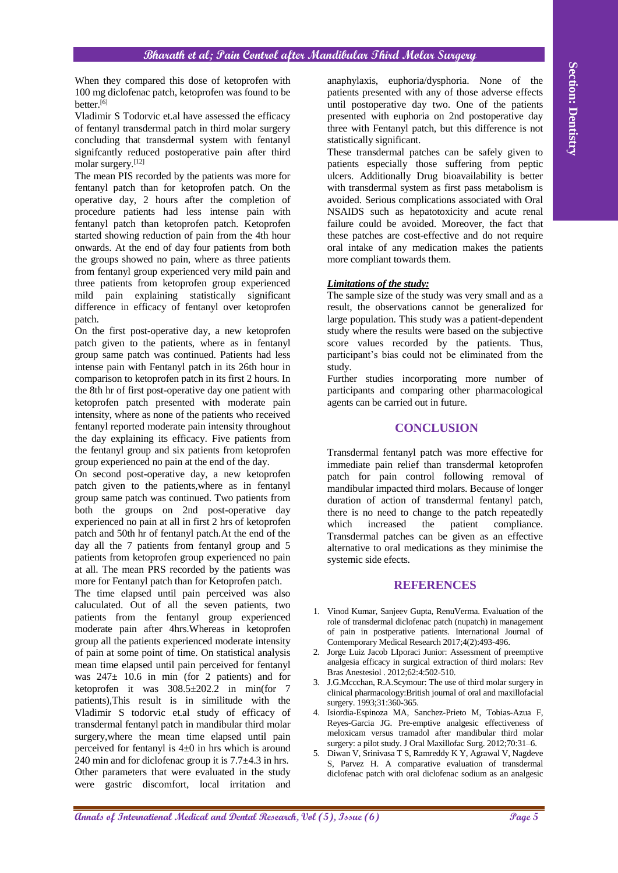When they compared this dose of ketoprofen with 100 mg diclofenac patch, ketoprofen was found to be better.<sup>[6]</sup>

Vladimir S Todorvic et.al have assessed the efficacy of fentanyl transdermal patch in third molar surgery concluding that transdermal system with fentanyl signifcantly reduced postoperative pain after third molar surgery.[12]

The mean PIS recorded by the patients was more for fentanyl patch than for ketoprofen patch. On the operative day, 2 hours after the completion of procedure patients had less intense pain with fentanyl patch than ketoprofen patch. Ketoprofen started showing reduction of pain from the 4th hour onwards. At the end of day four patients from both the groups showed no pain, where as three patients from fentanyl group experienced very mild pain and three patients from ketoprofen group experienced mild pain explaining statistically significant difference in efficacy of fentanyl over ketoprofen patch.

On the first post-operative day, a new ketoprofen patch given to the patients, where as in fentanyl group same patch was continued. Patients had less intense pain with Fentanyl patch in its 26th hour in comparison to ketoprofen patch in its first 2 hours. In the 8th hr of first post-operative day one patient with ketoprofen patch presented with moderate pain intensity, where as none of the patients who received fentanyl reported moderate pain intensity throughout the day explaining its efficacy. Five patients from the fentanyl group and six patients from ketoprofen group experienced no pain at the end of the day.

On second post-operative day, a new ketoprofen patch given to the patients,where as in fentanyl group same patch was continued. Two patients from both the groups on 2nd post-operative day experienced no pain at all in first 2 hrs of ketoprofen patch and 50th hr of fentanyl patch.At the end of the day all the 7 patients from fentanyl group and 5 patients from ketoprofen group experienced no pain at all. The mean PRS recorded by the patients was more for Fentanyl patch than for Ketoprofen patch.

When they computed this does or koopposite with an applyinative exploration between or international path of International Action path is a matrix of the International and Dental Research and Dental Benefits the section i The time elapsed until pain perceived was also caluculated. Out of all the seven patients, two patients from the fentanyl group experienced moderate pain after 4hrs.Whereas in ketoprofen group all the patients experienced moderate intensity of pain at some point of time. On statistical analysis mean time elapsed until pain perceived for fentanyl was  $247 \pm 10.6$  in min (for 2 patients) and for ketoprofen it was  $308.5 \pm 202.2$  in min(for 7 patients),This result is in similitude with the Vladimir S todorvic et.al study of efficacy of transdermal fentanyl patch in mandibular third molar surgery,where the mean time elapsed until pain perceived for fentanyl is 4±0 in hrs which is around 240 min and for diclofenac group it is 7.7±4.3 in hrs. Other parameters that were evaluated in the study were gastric discomfort, local irritation and

anaphylaxis, euphoria/dysphoria. None of the patients presented with any of those adverse effects until postoperative day two. One of the patients presented with euphoria on 2nd postoperative day three with Fentanyl patch, but this difference is not statistically significant.

These transdermal patches can be safely given to patients especially those suffering from peptic ulcers. Additionally Drug bioavailability is better with transdermal system as first pass metabolism is avoided. Serious complications associated with Oral NSAIDS such as hepatotoxicity and acute renal failure could be avoided. Moreover, the fact that these patches are cost-effective and do not require oral intake of any medication makes the patients more compliant towards them.

#### *Limitations of the study:*

The sample size of the study was very small and as a result, the observations cannot be generalized for large population. This study was a patient-dependent study where the results were based on the subjective score values recorded by the patients. Thus, participant's bias could not be eliminated from the study.

Further studies incorporating more number of participants and comparing other pharmacological agents can be carried out in future.

## **CONCLUSION**

Transdermal fentanyl patch was more effective for immediate pain relief than transdermal ketoprofen patch for pain control following removal of mandibular impacted third molars. Because of longer duration of action of transdermal fentanyl patch, there is no need to change to the patch repeatedly<br>which increased the patient compliance. which increased the patient compliance. Transdermal patches can be given as an effective alternative to oral medications as they minimise the systemic side efects.

#### **REFERENCES**

- 1. Vinod Kumar, Sanjeev Gupta, RenuVerma. Evaluation of the role of transdermal diclofenac patch (nupatch) in management of pain in postperative patients. International Journal of Contemporary Medical Research 2017;4(2):493-496.
- 2. Jorge Luiz Jacob LIporaci Junior: Assessment of preemptive analgesia efficacy in surgical extraction of third molars: Rev Bras Anestesiol . 2012;62:4:502-510.
- 3. J.G.Mccchan, R.A.Scymour: The use of third molar surgery in clinical pharmacology:British journal of oral and maxillofacial surgery. 1993;31:360-365.
- 4. Isiordia-Espinoza MA, Sanchez-Prieto M, Tobias-Azua F, Reyes-Garcia JG. Pre-emptive analgesic effectiveness of meloxicam versus tramadol after mandibular third molar surgery: a pilot study. J Oral Maxillofac Surg. 2012;70:31–6.
- 5. Diwan V, Srinivasa T S, Ramreddy K Y, Agrawal V, Nagdeve S, Parvez H. A comparative evaluation of transdermal diclofenac patch with oral diclofenac sodium as an analgesic